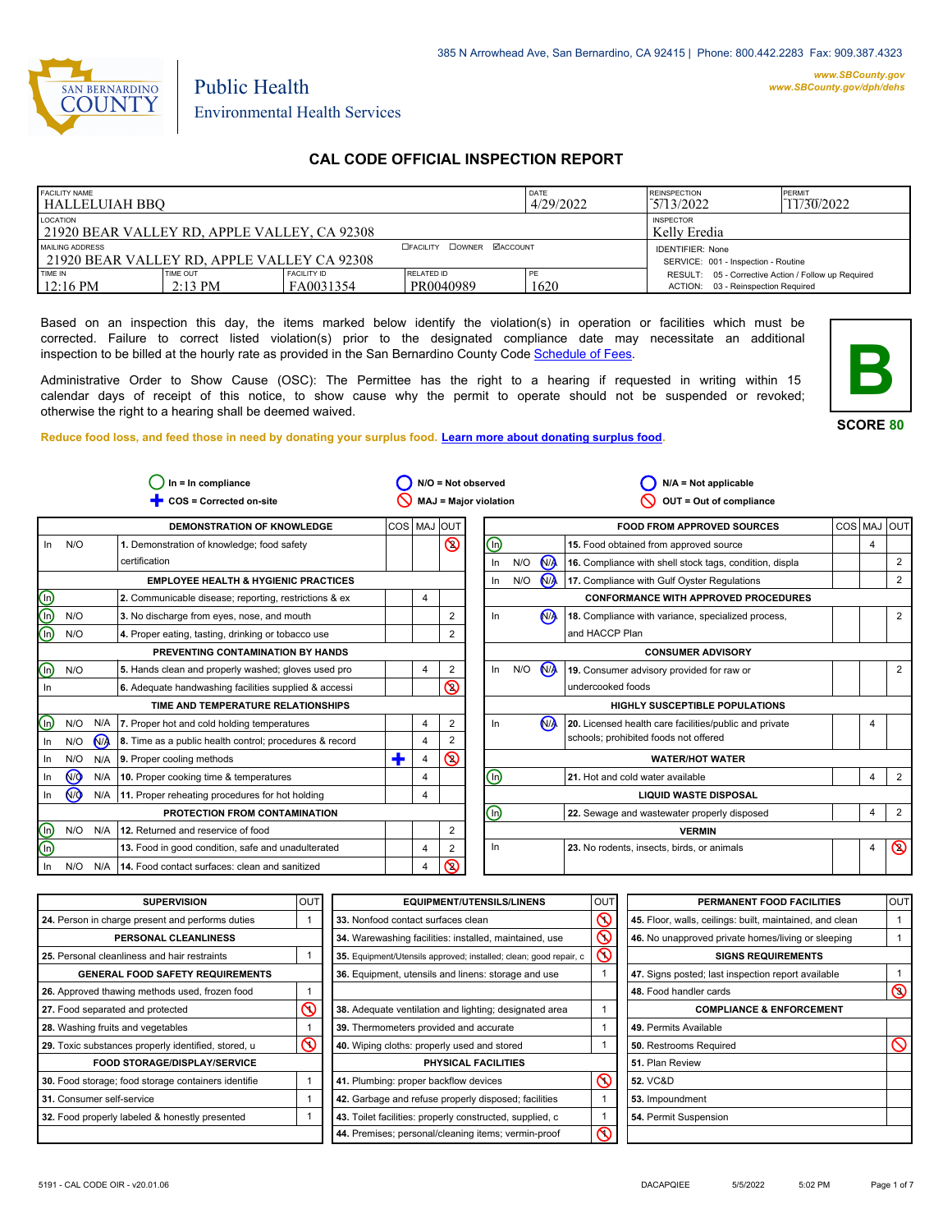

*www.SBCounty.gov [www.SBCounty.gov/dph/dehs](http://www.sbcounty.gov/dph/ehsportal)*

# Public Health Environmental Health Services

# **CAL CODE OFFICIAL INSPECTION REPORT**

| <b>FACILITY NAME</b>                                            |                   | DATE                             | <b>REINSPECTION</b>                                            | <b>PERMIT</b> |                                                     |  |
|-----------------------------------------------------------------|-------------------|----------------------------------|----------------------------------------------------------------|---------------|-----------------------------------------------------|--|
| l HALLELUIAH BBO                                                |                   | 4/29/2022                        | 5/13/2022                                                      | 11/30/2022    |                                                     |  |
| <b>LOCATION</b><br>21920 BEAR VALLEY RD, APPLE VALLEY, CA 92308 |                   | <b>INSPECTOR</b><br>Kelly Eredia |                                                                |               |                                                     |  |
| MAILING ADDRESS<br>21920 BEAR VALLEY RD. APPLE VALLEY CA 92308  |                   | <b>DOWNER MACCOUNT</b>           | <b>IDENTIFIER: None</b><br>SERVICE: 001 - Inspection - Routine |               |                                                     |  |
| TIME IN                                                         | TIME OUT          | <b>FACILITY ID</b>               | RELATED ID                                                     | PE            | RESULT: 05 - Corrective Action / Follow up Required |  |
| $12:16 \text{ PM}$                                              | $2:13 \text{ PM}$ | FA0031354                        | PR0040989                                                      | 1620          | ACTION: 03 - Reinspection Required                  |  |

Based on an inspection this day, the items marked below identify the violation(s) in operation or facilities which must be corrected. Failure to correct listed violation(s) prior to the designated compliance date may necessitate an additional inspection to be billed at the hourly rate as provided in the San Bernardino County Co[de Schedule of Fees.](https://codelibrary.amlegal.com/codes/sanbernardino/latest/sanberncty_ca/0-0-0-122474#JD_16.0213B)

Administrative Order to Show Cause (OSC): The Permittee has the right to a hearing if requested in writing within 15 calendar days of receipt of this notice, to show cause why the permit to operate should not be suspended or revoked; otherwise the right to a hearing shall be deemed waived.

**SCORE 80**

**B**

**Reduce food loss, and feed those in need by donating your surplus f[ood. Learn more about donating surplus food.](https://wp.sbcounty.gov/dph/programs/ehs/charitable-food-service/)**

| COS = Corrected on-site<br><b>MAJ = Major violation</b><br>OUT = Out of compliance<br>COS MAJ<br><b>DEMONSTRATION OF KNOWLEDGE</b><br>lout<br><b>FOOD FROM APPROVED SOURCES</b><br>$\circledS$<br>⋒<br>N/O<br>15. Food obtained from approved source<br>In<br>1. Demonstration of knowledge; food safety<br>$\mathbf{M}$<br>certification<br>N/O<br>16. Compliance with shell stock tags, condition, displa<br>In.<br>$N/\lambda$<br>N/O<br><b>EMPLOYEE HEALTH &amp; HYGIENIC PRACTICES</b><br>17. Compliance with Gulf Oyster Regulations<br>In<br>$\textcircled{\scriptsize{D}}$<br>2. Communicable disease; reporting, restrictions & ex<br><b>CONFORMANCE WITH APPROVED PROCEDURES</b><br>4<br>ত্ৰী<br>N <sub>1</sub><br>N/O<br>$\overline{2}$<br>18. Compliance with variance, specialized process,<br>3. No discharge from eyes, nose, and mouth<br>In.<br>$\widehat{\mathbb{D}}$<br>and HACCP Plan<br>N/O<br>2<br>4. Proper eating, tasting, drinking or tobacco use<br>PREVENTING CONTAMINATION BY HANDS<br><b>CONSUMER ADVISORY</b><br>⋒<br>M<br>In<br>N/O<br>5. Hands clean and properly washed; gloves used pro<br>2<br>N/O<br>19. Consumer advisory provided for raw or<br>4 | loutl<br>COS MAJ<br>4<br>2<br>2 |
|------------------------------------------------------------------------------------------------------------------------------------------------------------------------------------------------------------------------------------------------------------------------------------------------------------------------------------------------------------------------------------------------------------------------------------------------------------------------------------------------------------------------------------------------------------------------------------------------------------------------------------------------------------------------------------------------------------------------------------------------------------------------------------------------------------------------------------------------------------------------------------------------------------------------------------------------------------------------------------------------------------------------------------------------------------------------------------------------------------------------------------------------------------------------------------------|---------------------------------|
|                                                                                                                                                                                                                                                                                                                                                                                                                                                                                                                                                                                                                                                                                                                                                                                                                                                                                                                                                                                                                                                                                                                                                                                          |                                 |
|                                                                                                                                                                                                                                                                                                                                                                                                                                                                                                                                                                                                                                                                                                                                                                                                                                                                                                                                                                                                                                                                                                                                                                                          |                                 |
|                                                                                                                                                                                                                                                                                                                                                                                                                                                                                                                                                                                                                                                                                                                                                                                                                                                                                                                                                                                                                                                                                                                                                                                          |                                 |
|                                                                                                                                                                                                                                                                                                                                                                                                                                                                                                                                                                                                                                                                                                                                                                                                                                                                                                                                                                                                                                                                                                                                                                                          |                                 |
|                                                                                                                                                                                                                                                                                                                                                                                                                                                                                                                                                                                                                                                                                                                                                                                                                                                                                                                                                                                                                                                                                                                                                                                          |                                 |
|                                                                                                                                                                                                                                                                                                                                                                                                                                                                                                                                                                                                                                                                                                                                                                                                                                                                                                                                                                                                                                                                                                                                                                                          |                                 |
|                                                                                                                                                                                                                                                                                                                                                                                                                                                                                                                                                                                                                                                                                                                                                                                                                                                                                                                                                                                                                                                                                                                                                                                          | 2                               |
|                                                                                                                                                                                                                                                                                                                                                                                                                                                                                                                                                                                                                                                                                                                                                                                                                                                                                                                                                                                                                                                                                                                                                                                          |                                 |
|                                                                                                                                                                                                                                                                                                                                                                                                                                                                                                                                                                                                                                                                                                                                                                                                                                                                                                                                                                                                                                                                                                                                                                                          |                                 |
|                                                                                                                                                                                                                                                                                                                                                                                                                                                                                                                                                                                                                                                                                                                                                                                                                                                                                                                                                                                                                                                                                                                                                                                          | 2                               |
| $\overline{\mathsf{O}}$<br>undercooked foods<br>6. Adequate handwashing facilities supplied & accessi<br>In.                                                                                                                                                                                                                                                                                                                                                                                                                                                                                                                                                                                                                                                                                                                                                                                                                                                                                                                                                                                                                                                                             |                                 |
| TIME AND TEMPERATURE RELATIONSHIPS<br><b>HIGHLY SUSCEPTIBLE POPULATIONS</b>                                                                                                                                                                                                                                                                                                                                                                                                                                                                                                                                                                                                                                                                                                                                                                                                                                                                                                                                                                                                                                                                                                              |                                 |
| ⋒<br>N <sub>A</sub><br>N/O<br>N/A<br>2<br>20. Licensed health care facilities/public and private<br>7. Proper hot and cold holding temperatures<br>In.<br>4                                                                                                                                                                                                                                                                                                                                                                                                                                                                                                                                                                                                                                                                                                                                                                                                                                                                                                                                                                                                                              | 4                               |
| schools; prohibited foods not offered<br>N <sub>A</sub><br>2<br>N/O<br>8. Time as a public health control; procedures & record<br>In<br>4                                                                                                                                                                                                                                                                                                                                                                                                                                                                                                                                                                                                                                                                                                                                                                                                                                                                                                                                                                                                                                                |                                 |
| $\circledcirc$<br>٠<br>N/A<br>N/O<br>9. Proper cooling methods<br>4<br><b>WATER/HOT WATER</b><br>In                                                                                                                                                                                                                                                                                                                                                                                                                                                                                                                                                                                                                                                                                                                                                                                                                                                                                                                                                                                                                                                                                      |                                 |
| ⑯<br><b>OD</b><br>10. Proper cooking time & temperatures<br>21. Hot and cold water available<br>N/A<br>In<br>4                                                                                                                                                                                                                                                                                                                                                                                                                                                                                                                                                                                                                                                                                                                                                                                                                                                                                                                                                                                                                                                                           | 2<br>4                          |
| N <sub>O</sub><br>N/A<br>11. Proper reheating procedures for hot holding<br><b>LIQUID WASTE DISPOSAL</b><br>4<br>In                                                                                                                                                                                                                                                                                                                                                                                                                                                                                                                                                                                                                                                                                                                                                                                                                                                                                                                                                                                                                                                                      |                                 |
| ⋒<br>PROTECTION FROM CONTAMINATION<br>22. Sewage and wastewater properly disposed                                                                                                                                                                                                                                                                                                                                                                                                                                                                                                                                                                                                                                                                                                                                                                                                                                                                                                                                                                                                                                                                                                        | $\overline{2}$<br>4             |
| ⋒<br>N/O N/A<br>2<br>12. Returned and reservice of food<br><b>VERMIN</b>                                                                                                                                                                                                                                                                                                                                                                                                                                                                                                                                                                                                                                                                                                                                                                                                                                                                                                                                                                                                                                                                                                                 |                                 |
| ⋒<br>ln<br>13. Food in good condition, safe and unadulterated<br>$\overline{2}$<br>23. No rodents, insects, birds, or animals<br>4                                                                                                                                                                                                                                                                                                                                                                                                                                                                                                                                                                                                                                                                                                                                                                                                                                                                                                                                                                                                                                                       | $\circledcirc$<br>4             |
| $\odot$<br>14. Food contact surfaces: clean and sanitized<br>N/O<br>N/A<br>4<br>In                                                                                                                                                                                                                                                                                                                                                                                                                                                                                                                                                                                                                                                                                                                                                                                                                                                                                                                                                                                                                                                                                                       |                                 |

| <b>SUPERVISION</b>                                  | <b>OUT</b> | <b>EQUIPMENT/UTENSILS/LINENS</b>                                  | OUT               | PERMANENT FOOD FACILITIES                                | <b>OUT</b> |
|-----------------------------------------------------|------------|-------------------------------------------------------------------|-------------------|----------------------------------------------------------|------------|
| 24. Person in charge present and performs duties    |            | 33. Nonfood contact surfaces clean                                | $\infty$          | 45. Floor, walls, ceilings: built, maintained, and clean |            |
| PERSONAL CLEANLINESS                                |            | 34. Warewashing facilities: installed, maintained, use            | $\mathbb{O}$      | 46. No unapproved private homes/living or sleeping       |            |
| 25. Personal cleanliness and hair restraints        |            | 35. Equipment/Utensils approved; installed; clean; good repair, c | $\mathsf{\Omega}$ | <b>SIGNS REQUIREMENTS</b>                                |            |
| <b>GENERAL FOOD SAFETY REQUIREMENTS</b>             |            | 36. Equipment, utensils and linens: storage and use               |                   | 47. Signs posted; last inspection report available       |            |
| 26. Approved thawing methods used, frozen food      |            |                                                                   |                   | 48. Food handler cards                                   | O          |
| 27. Food separated and protected                    | ⋒          | 38. Adequate ventilation and lighting; designated area            |                   | <b>COMPLIANCE &amp; ENFORCEMENT</b>                      |            |
| 28. Washing fruits and vegetables                   |            | 39. Thermometers provided and accurate                            |                   | 49. Permits Available                                    |            |
| 29. Toxic substances properly identified, stored, u | $\infty$   | 40. Wiping cloths: properly used and stored                       |                   | <b>50.</b> Restrooms Required                            |            |
| <b>FOOD STORAGE/DISPLAY/SERVICE</b>                 |            | PHYSICAL FACILITIES                                               |                   | 51. Plan Review                                          |            |
| 30. Food storage; food storage containers identifie |            | 41. Plumbing: proper backflow devices                             | $\infty$          | <b>52. VC&amp;D</b>                                      |            |
| 31. Consumer self-service                           |            | 42. Garbage and refuse properly disposed; facilities              |                   | 53. Impoundment                                          |            |
| 32. Food properly labeled & honestly presented      |            | 43. Toilet facilities: properly constructed, supplied, c          |                   | 54. Permit Suspension                                    |            |
|                                                     |            | 44. Premises; personal/cleaning items; vermin-proof               | ୧                 |                                                          |            |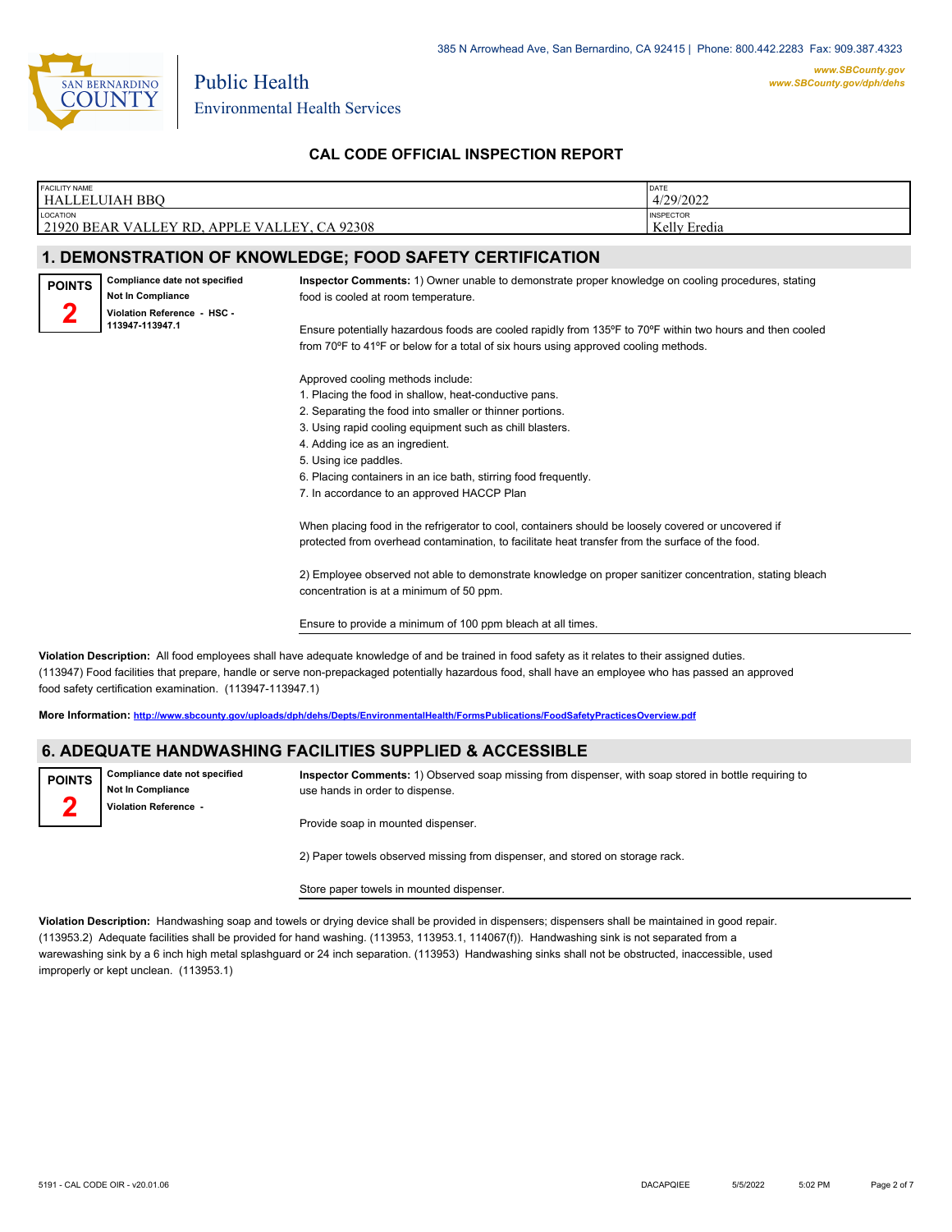

Environmental Health Services

Public Health

## **CAL CODE OFFICIAL INSPECTION REPORT**

| <b>FACILITY NAME</b>                                                                                                                                                                                                                                                                                  | <b>HALLELUIAH BBO</b>                                                                                |                                                                                                                                                                                                                                                                                                                                                                                                                                                                                                                                                                                                                                                                                                                                                                                                                                                                                                                                                                                                                                                                                                                                                                                    | DATE<br>4/29/2022                |  |
|-------------------------------------------------------------------------------------------------------------------------------------------------------------------------------------------------------------------------------------------------------------------------------------------------------|------------------------------------------------------------------------------------------------------|------------------------------------------------------------------------------------------------------------------------------------------------------------------------------------------------------------------------------------------------------------------------------------------------------------------------------------------------------------------------------------------------------------------------------------------------------------------------------------------------------------------------------------------------------------------------------------------------------------------------------------------------------------------------------------------------------------------------------------------------------------------------------------------------------------------------------------------------------------------------------------------------------------------------------------------------------------------------------------------------------------------------------------------------------------------------------------------------------------------------------------------------------------------------------------|----------------------------------|--|
| LOCATION<br>21920 BEAR VALLEY RD, APPLE VALLEY, CA 92308                                                                                                                                                                                                                                              |                                                                                                      |                                                                                                                                                                                                                                                                                                                                                                                                                                                                                                                                                                                                                                                                                                                                                                                                                                                                                                                                                                                                                                                                                                                                                                                    | <b>INSPECTOR</b><br>Kelly Eredia |  |
|                                                                                                                                                                                                                                                                                                       |                                                                                                      | 1. DEMONSTRATION OF KNOWLEDGE; FOOD SAFETY CERTIFICATION                                                                                                                                                                                                                                                                                                                                                                                                                                                                                                                                                                                                                                                                                                                                                                                                                                                                                                                                                                                                                                                                                                                           |                                  |  |
| <b>POINTS</b>                                                                                                                                                                                                                                                                                         | Compliance date not specified<br>Not In Compliance<br>Violation Reference - HSC -<br>113947-113947.1 | Inspector Comments: 1) Owner unable to demonstrate proper knowledge on cooling procedures, stating<br>food is cooled at room temperature.<br>Ensure potentially hazardous foods are cooled rapidly from 135°F to 70°F within two hours and then cooled<br>from 70°F to 41°F or below for a total of six hours using approved cooling methods.<br>Approved cooling methods include:<br>1. Placing the food in shallow, heat-conductive pans.<br>2. Separating the food into smaller or thinner portions.<br>3. Using rapid cooling equipment such as chill blasters.<br>4. Adding ice as an ingredient.<br>5. Using ice paddles.<br>6. Placing containers in an ice bath, stirring food frequently.<br>7. In accordance to an approved HACCP Plan<br>When placing food in the refrigerator to cool, containers should be loosely covered or uncovered if<br>protected from overhead contamination, to facilitate heat transfer from the surface of the food.<br>2) Employee observed not able to demonstrate knowledge on proper sanitizer concentration, stating bleach<br>concentration is at a minimum of 50 ppm.<br>Ensure to provide a minimum of 100 ppm bleach at all times. |                                  |  |
| Violation Description: All food employees shall have adequate knowledge of and be trained in food safety as it relates to their assigned duties.<br>(1994) Enod facilities that prenane landle or serve non-preparkaned potentially hazardous food, shall have an employee who has passed an approved |                                                                                                      |                                                                                                                                                                                                                                                                                                                                                                                                                                                                                                                                                                                                                                                                                                                                                                                                                                                                                                                                                                                                                                                                                                                                                                                    |                                  |  |

aged potentially hazardous food, shall have an employee who has passed an approved food safety certification examination. (113947-113947.1)

**More Information: <http://www.sbcounty.gov/uploads/dph/dehs/Depts/EnvironmentalHealth/FormsPublications/FoodSafetyPracticesOverview.pdf>**

#### **6. ADEQUATE HANDWASHING FACILITIES SUPPLIED & ACCESSIBLE**

**Compliance date not specified Not In Compliance Violation Reference - POINTS**

**2**

**Inspector Comments:** 1) Observed soap missing from dispenser, with soap stored in bottle requiring to use hands in order to dispense.

Provide soap in mounted dispenser.

2) Paper towels observed missing from dispenser, and stored on storage rack.

Store paper towels in mounted dispenser.

**Violation Description:** Handwashing soap and towels or drying device shall be provided in dispensers; dispensers shall be maintained in good repair. (113953.2) Adequate facilities shall be provided for hand washing. (113953, 113953.1, 114067(f)). Handwashing sink is not separated from a warewashing sink by a 6 inch high metal splashguard or 24 inch separation. (113953) Handwashing sinks shall not be obstructed, inaccessible, used improperly or kept unclean. (113953.1)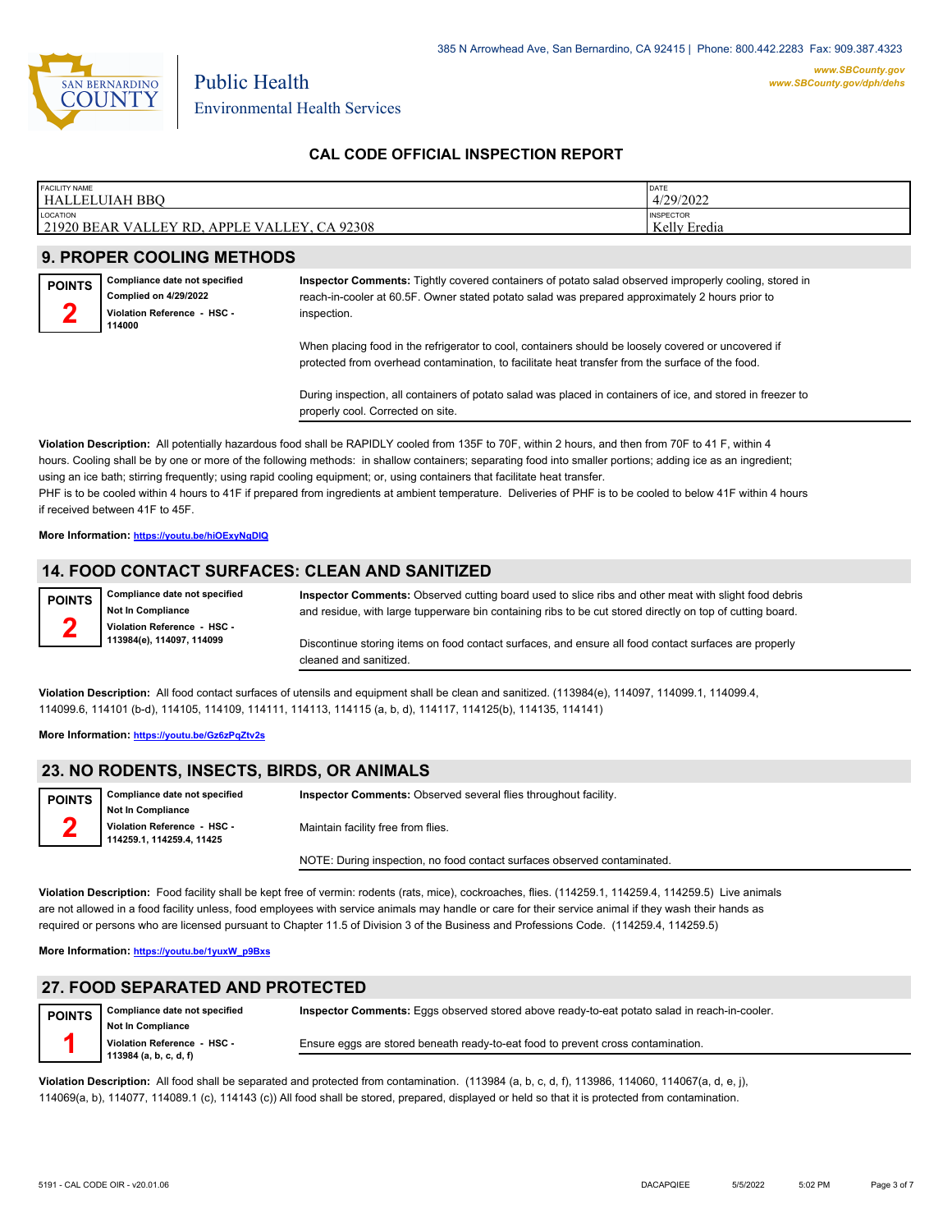

**CAL CODE OFFICIAL INSPECTION REPORT**

| <b>FACILITY NAME</b><br>DATE<br>4/29/2022<br>HALLELUIAH BBO                                                 |  |
|-------------------------------------------------------------------------------------------------------------|--|
|                                                                                                             |  |
| LOCATION<br><b>INSPECTOR</b><br>Kelly Eredia<br>21920 BEAR VALLEY RD.<br>.92308<br>! VALLEY<br><b>APPLE</b> |  |

### **9. PROPER COOLING METHODS**

**Compliance date not specified Complied on 4/29/2022 Violation Reference - HSC - 114000 POINTS 2**

**Inspector Comments:** Tightly covered containers of potato salad observed improperly cooling, stored in reach-in-cooler at 60.5F. Owner stated potato salad was prepared approximately 2 hours prior to inspection.

When placing food in the refrigerator to cool, containers should be loosely covered or uncovered if protected from overhead contamination, to facilitate heat transfer from the surface of the food.

During inspection, all containers of potato salad was placed in containers of ice, and stored in freezer to properly cool. Corrected on site.

**Violation Description:** All potentially hazardous food shall be RAPIDLY cooled from 135F to 70F, within 2 hours, and then from 70F to 41 F, within 4 hours. Cooling shall be by one or more of the following methods: in shallow containers; separating food into smaller portions; adding ice as an ingredient; using an ice bath; stirring frequently; using rapid cooling equipment; or, using containers that facilitate heat transfer. PHF is to be cooled within 4 hours to 41F if prepared from ingredients at ambient temperature. Deliveries of PHF is to be cooled to below 41F within 4 hours if received between 41F to 45F.

**More Information: <https://youtu.be/hiOExyNgDIQ>**

### **14. FOOD CONTACT SURFACES: CLEAN AND SANITIZED**

**Compliance date not specified Not In Compliance Violation Reference - HSC - 113984(e), 114097, 114099 POINTS 2**

**Inspector Comments:** Observed cutting board used to slice ribs and other meat with slight food debris and residue, with large tupperware bin containing ribs to be cut stored directly on top of cutting board.

Discontinue storing items on food contact surfaces, and ensure all food contact surfaces are properly cleaned and sanitized.

**Violation Description:** All food contact surfaces of utensils and equipment shall be clean and sanitized. (113984(e), 114097, 114099.1, 114099.4, 114099.6, 114101 (b-d), 114105, 114109, 114111, 114113, 114115 (a, b, d), 114117, 114125(b), 114135, 114141)

**More Information: <https://youtu.be/Gz6zPqZtv2s>**

#### **23. NO RODENTS, INSECTS, BIRDS, OR ANIMALS**

**Compliance date not specified Not In Compliance Violation Reference - HSC - 114259.1, 114259.4, 11425 POINTS 2 Inspector Comments:** Observed several flies throughout facility. Maintain facility free from flies. NOTE: During inspection, no food contact surfaces observed contaminated.

**Violation Description:** Food facility shall be kept free of vermin: rodents (rats, mice), cockroaches, flies. (114259.1, 114259.4, 114259.5) Live animals are not allowed in a food facility unless, food employees with service animals may handle or care for their service animal if they wash their hands as required or persons who are licensed pursuant to Chapter 11.5 of Division 3 of the Business and Professions Code. (114259.4, 114259.5)

**More Information: [https://youtu.be/1yuxW\\_p9Bxs](https://youtu.be/1yuxW_p9Bxs)**

#### **27. FOOD SEPARATED AND PROTECTED**

| <b>POINTS</b> | Compliance date not specified | Inspector Comments: Eggs observed stored above ready-to-eat potato salad in reach-in-cooler. |
|---------------|-------------------------------|----------------------------------------------------------------------------------------------|
|               | <b>Not In Compliance</b>      |                                                                                              |
|               | Violation Reference - HSC -   | Ensure eggs are stored beneath ready-to-eat food to prevent cross contamination.             |
|               | 113984 (a, b, c, d, f)        |                                                                                              |

**Violation Description:** All food shall be separated and protected from contamination. (113984 (a, b, c, d, f), 113986, 114060, 114067(a, d, e, j), 114069(a, b), 114077, 114089.1 (c), 114143 (c)) All food shall be stored, prepared, displayed or held so that it is protected from contamination.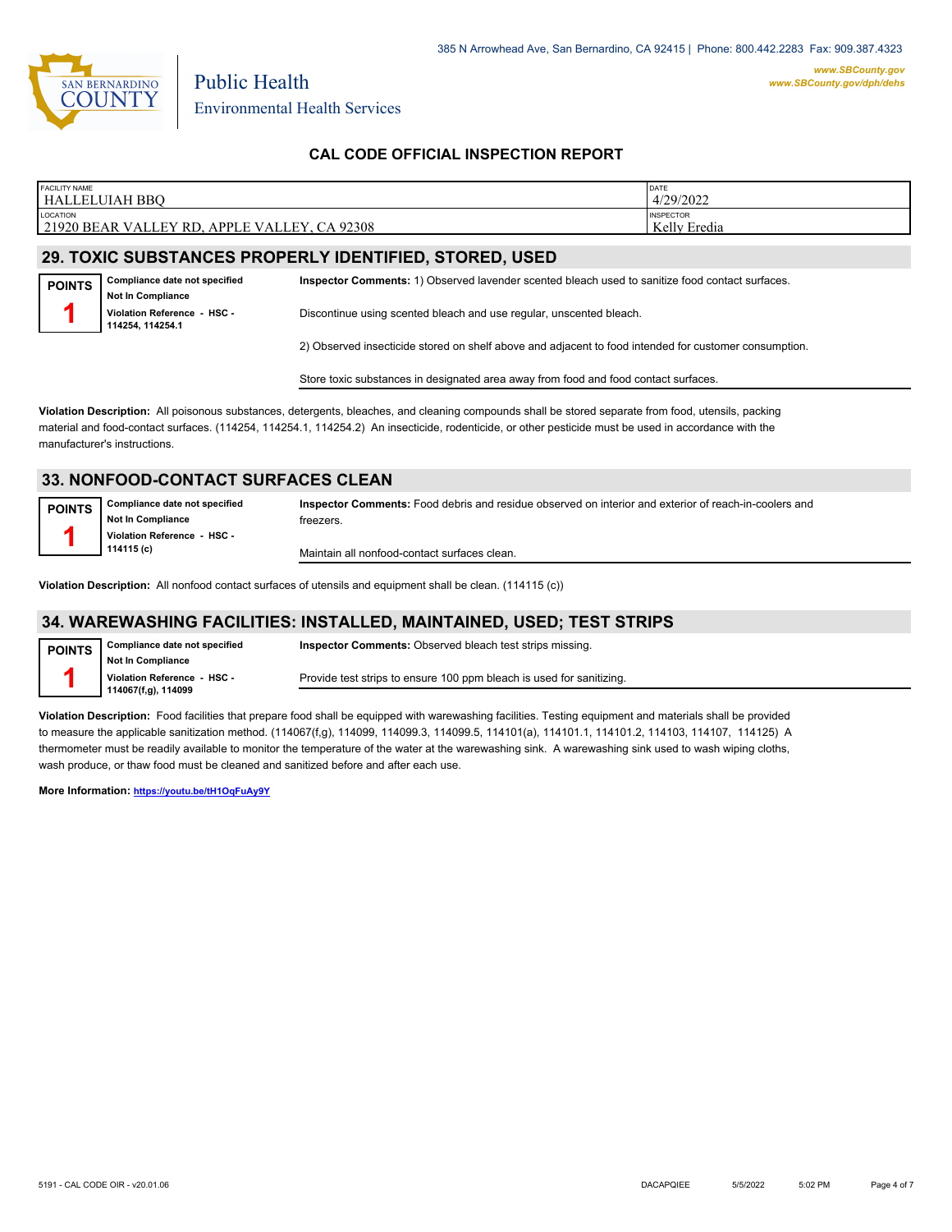

385 N Arrowhead Ave, San Bernardino, CA 92415 | Phone: 800.442.2283 Fax: 909.387.4323

#### **CAL CODE OFFICIAL INSPECTION REPORT**

| <b>FACILITY NAME</b>                                               | <b>DATE</b>      |
|--------------------------------------------------------------------|------------------|
| HALI<br>JUIAH BBO<br>. н.                                          | 4/29/2022        |
| LOCATION                                                           | <b>INSPECTOR</b> |
| 21920 BEAR<br>92308<br><b>APPLE VALLEY</b><br><b>VALLEY</b><br>-RD | Kelly<br>Eredia  |
|                                                                    |                  |
|                                                                    |                  |

## **29. TOXIC SUBSTANCES PROPERLY IDENTIFIED, STORED, USED**

Environmental Health Services

**Compliance date not specified Not In Compliance Violation Reference - HSC - 114254, 114254.1 POINTS 1 Inspector Comments:** 1) Observed lavender scented bleach used to sanitize food contact surfaces. Discontinue using scented bleach and use regular, unscented bleach.

2) Observed insecticide stored on shelf above and adjacent to food intended for customer consumption.

Store toxic substances in designated area away from food and food contact surfaces.

**Violation Description:** All poisonous substances, detergents, bleaches, and cleaning compounds shall be stored separate from food, utensils, packing material and food-contact surfaces. (114254, 114254.1, 114254.2) An insecticide, rodenticide, or other pesticide must be used in accordance with the manufacturer's instructions.

#### **33. NONFOOD-CONTACT SURFACES CLEAN**

**Compliance date not specified Not In Compliance Violation Reference - HSC - 114115 (c) POINTS**

**1**

**Inspector Comments:** Food debris and residue observed on interior and exterior of reach-in-coolers and freezers.

Maintain all nonfood-contact surfaces clean.

**Violation Description:** All nonfood contact surfaces of utensils and equipment shall be clean. (114115 (c))

### **34. WAREWASHING FACILITIES: INSTALLED, MAINTAINED, USED; TEST STRIPS**

| <b>POINTS</b> | Compliance date not specified | <b>Inspector Comments:</b> Observed bleach test strips missing.      |
|---------------|-------------------------------|----------------------------------------------------------------------|
|               | Not In Compliance             |                                                                      |
|               | Violation Reference - HSC -   | Provide test strips to ensure 100 ppm bleach is used for sanitizing. |
|               | 114067(f,g), 114099           |                                                                      |

**Violation Description:** Food facilities that prepare food shall be equipped with warewashing facilities. Testing equipment and materials shall be provided to measure the applicable sanitization method. (114067(f,g), 114099, 114099.3, 114099.5, 114101(a), 114101.1, 114101.2, 114103, 114107, 114125) A thermometer must be readily available to monitor the temperature of the water at the warewashing sink. A warewashing sink used to wash wiping cloths, wash produce, or thaw food must be cleaned and sanitized before and after each use.

**More Information: <https://youtu.be/tH1OqFuAy9Y>**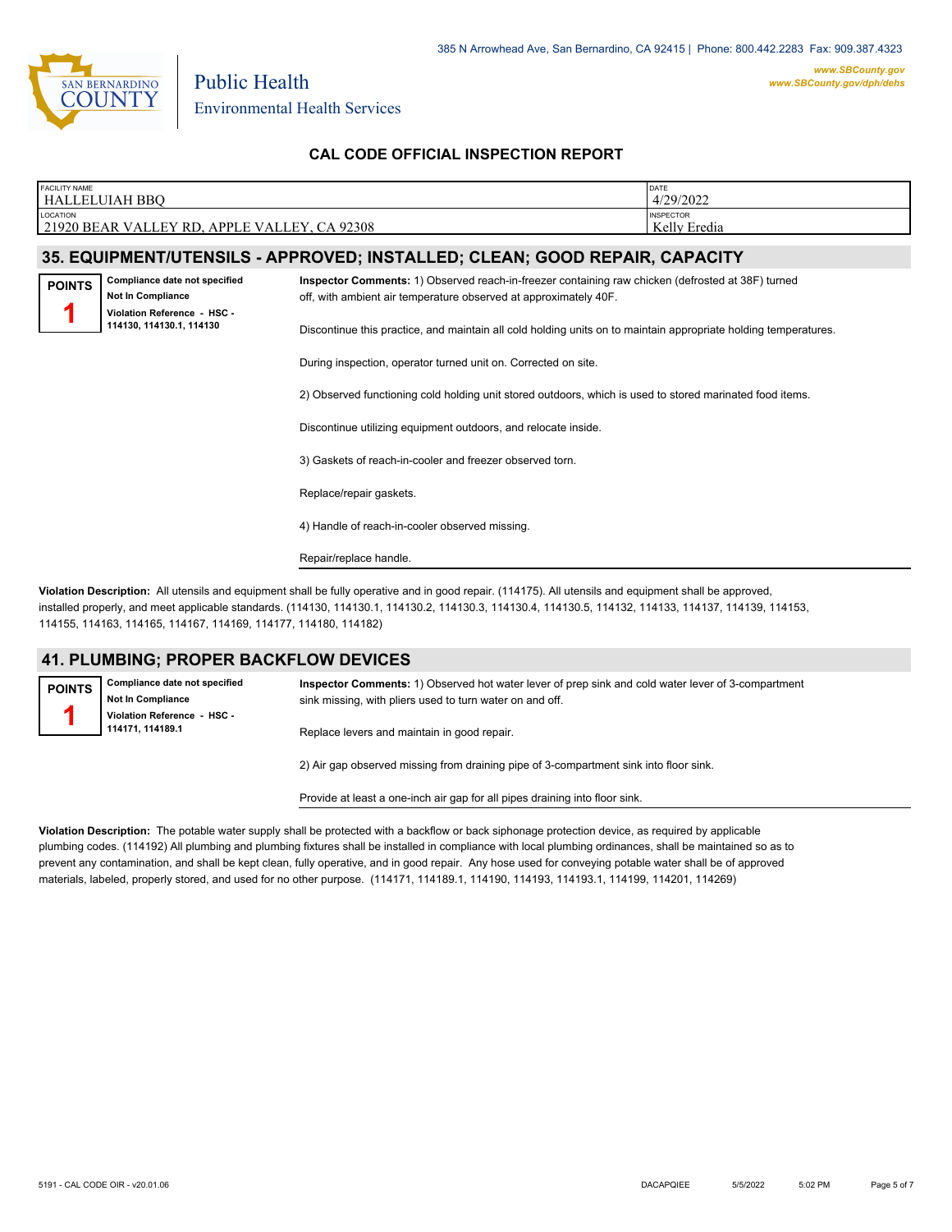

*www.SBCounty.gov [www.SBCounty.gov/dph/dehs](http://www.sbcounty.gov/dph/ehsportal)*

**CAL CODE OFFICIAL INSPECTION REPORT**

| <b>FACILITY NAME</b><br><b>HALLELUIAH BBO</b>                                                                                                                   |                                                                            |                                                                                                                                                                       | DATE<br>4/29/2022                |  |  |
|-----------------------------------------------------------------------------------------------------------------------------------------------------------------|----------------------------------------------------------------------------|-----------------------------------------------------------------------------------------------------------------------------------------------------------------------|----------------------------------|--|--|
| <b>LOCATION</b><br>21920 BEAR VALLEY RD, APPLE VALLEY, CA 92308                                                                                                 |                                                                            |                                                                                                                                                                       | <b>INSPECTOR</b><br>Kelly Eredia |  |  |
|                                                                                                                                                                 | 35. EQUIPMENT/UTENSILS - APPROVED; INSTALLED; CLEAN; GOOD REPAIR, CAPACITY |                                                                                                                                                                       |                                  |  |  |
| <b>POINTS</b>                                                                                                                                                   | Compliance date not specified<br>Not In Compliance                         | Inspector Comments: 1) Observed reach-in-freezer containing raw chicken (defrosted at 38F) turned<br>off, with ambient air temperature observed at approximately 40F. |                                  |  |  |
| Violation Reference - HSC -<br>114130, 114130.1, 114130                                                                                                         |                                                                            | Discontinue this practice, and maintain all cold holding units on to maintain appropriate holding temperatures.                                                       |                                  |  |  |
|                                                                                                                                                                 |                                                                            | During inspection, operator turned unit on. Corrected on site.                                                                                                        |                                  |  |  |
| 3) Gaskets of reach-in-cooler and freezer observed torn.<br>Replace/repair gaskets.<br>4) Handle of reach-in-cooler observed missing.<br>Repair/replace handle. |                                                                            | 2) Observed functioning cold holding unit stored outdoors, which is used to stored marinated food items.                                                              |                                  |  |  |
|                                                                                                                                                                 |                                                                            | Discontinue utilizing equipment outdoors, and relocate inside.                                                                                                        |                                  |  |  |
|                                                                                                                                                                 |                                                                            |                                                                                                                                                                       |                                  |  |  |
|                                                                                                                                                                 |                                                                            |                                                                                                                                                                       |                                  |  |  |
|                                                                                                                                                                 |                                                                            |                                                                                                                                                                       |                                  |  |  |
|                                                                                                                                                                 |                                                                            |                                                                                                                                                                       |                                  |  |  |

**Violation Description:** All utensils and equipment shall be fully operative and in good repair. (114175). All utensils and equipment shall be approved, installed properly, and meet applicable standards. (114130, 114130.1, 114130.2, 114130.3, 114130.4, 114130.5, 114132, 114133, 114137, 114139, 114153, 114155, 114163, 114165, 114167, 114169, 114177, 114180, 114182)

#### **41. PLUMBING; PROPER BACKFLOW DEVICES**

**Compliance date not specified Not In Compliance Violation Reference - HSC - 114171, 114189.1 POINTS 1 Inspector Comments:** 1) Observed hot water lever of prep sink and cold water lever of 3-compartment sink missing, with pliers used to turn water on and off. Replace levers and maintain in good repair. 2) Air gap observed missing from draining pipe of 3-compartment sink into floor sink.

Provide at least a one-inch air gap for all pipes draining into floor sink.

**Violation Description:** The potable water supply shall be protected with a backflow or back siphonage protection device, as required by applicable plumbing codes. (114192) All plumbing and plumbing fixtures shall be installed in compliance with local plumbing ordinances, shall be maintained so as to prevent any contamination, and shall be kept clean, fully operative, and in good repair. Any hose used for conveying potable water shall be of approved materials, labeled, properly stored, and used for no other purpose. (114171, 114189.1, 114190, 114193, 114193.1, 114199, 114201, 114269)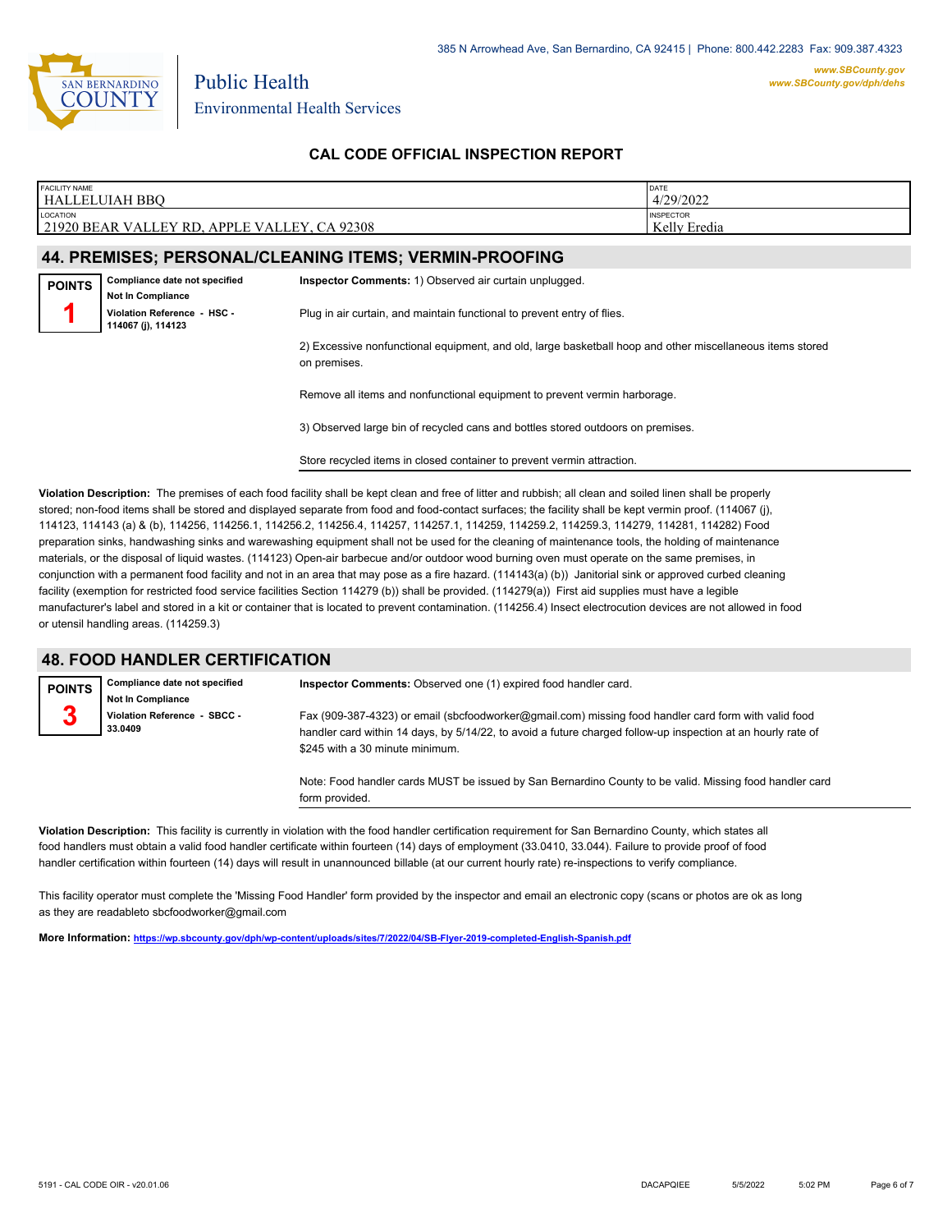

### **CAL CODE OFFICIAL INSPECTION REPORT**

| FACILITY NAME                                                                                                                |                                                        |                                                                                                           | DATE             |  |  |  |
|------------------------------------------------------------------------------------------------------------------------------|--------------------------------------------------------|-----------------------------------------------------------------------------------------------------------|------------------|--|--|--|
| HALLELUIAH BBQ                                                                                                               |                                                        |                                                                                                           | 4/29/2022        |  |  |  |
| LOCATION                                                                                                                     |                                                        |                                                                                                           | <b>INSPECTOR</b> |  |  |  |
|                                                                                                                              | 21920 BEAR VALLEY RD, APPLE VALLEY, CA 92308           |                                                                                                           | Kelly Eredia     |  |  |  |
|                                                                                                                              |                                                        |                                                                                                           |                  |  |  |  |
|                                                                                                                              | 44. PREMISES; PERSONAL/CLEANING ITEMS; VERMIN-PROOFING |                                                                                                           |                  |  |  |  |
|                                                                                                                              | Compliance date not specified                          | Inspector Comments: 1) Observed air curtain unplugged.                                                    |                  |  |  |  |
| <b>POINTS</b>                                                                                                                |                                                        |                                                                                                           |                  |  |  |  |
|                                                                                                                              | Not In Compliance                                      |                                                                                                           |                  |  |  |  |
| Violation Reference - HSC -<br>Plug in air curtain, and maintain functional to prevent entry of flies.<br>114067 (j), 114123 |                                                        |                                                                                                           |                  |  |  |  |
|                                                                                                                              |                                                        | 2) Excessive nonfunctional equipment, and old, large basketball hoop and other miscellaneous items stored |                  |  |  |  |
|                                                                                                                              |                                                        | on premises.                                                                                              |                  |  |  |  |
|                                                                                                                              |                                                        |                                                                                                           |                  |  |  |  |
|                                                                                                                              |                                                        |                                                                                                           |                  |  |  |  |
|                                                                                                                              |                                                        | Remove all items and nonfunctional equipment to prevent vermin harborage.                                 |                  |  |  |  |
|                                                                                                                              |                                                        |                                                                                                           |                  |  |  |  |
|                                                                                                                              |                                                        | 3) Observed large bin of recycled cans and bottles stored outdoors on premises.                           |                  |  |  |  |
|                                                                                                                              |                                                        |                                                                                                           |                  |  |  |  |
|                                                                                                                              |                                                        | Store recycled items in closed container to prevent vermin attraction.                                    |                  |  |  |  |
|                                                                                                                              |                                                        |                                                                                                           |                  |  |  |  |
|                                                                                                                              |                                                        |                                                                                                           |                  |  |  |  |

**Violation Description:** The premises of each food facility shall be kept clean and free of litter and rubbish; all clean and soiled linen shall be properly stored; non-food items shall be stored and displayed separate from food and food-contact surfaces; the facility shall be kept vermin proof. (114067 (j), 114123, 114143 (a) & (b), 114256, 114256.1, 114256.2, 114256.4, 114257, 114257.1, 114259, 114259.2, 114259.3, 114279, 114281, 114282) Food preparation sinks, handwashing sinks and warewashing equipment shall not be used for the cleaning of maintenance tools, the holding of maintenance materials, or the disposal of liquid wastes. (114123) Open-air barbecue and/or outdoor wood burning oven must operate on the same premises, in conjunction with a permanent food facility and not in an area that may pose as a fire hazard. (114143(a) (b)) Janitorial sink or approved curbed cleaning facility (exemption for restricted food service facilities Section 114279 (b)) shall be provided. (114279(a)) First aid supplies must have a legible manufacturer's label and stored in a kit or container that is located to prevent contamination. (114256.4) Insect electrocution devices are not allowed in food or utensil handling areas. (114259.3)

## **48. FOOD HANDLER CERTIFICATION**

| <b>POINTS</b> | Compliance date not specified<br><b>Not In Compliance</b> | Inspector Comments: Observed one (1) expired food handler card.                                                                                                                                                                                         |
|---------------|-----------------------------------------------------------|---------------------------------------------------------------------------------------------------------------------------------------------------------------------------------------------------------------------------------------------------------|
| $\bm{J}$      | Violation Reference - SBCC -<br>33.0409                   | Fax (909-387-4323) or email (sbcfoodworker@gmail.com) missing food handler card form with valid food<br>handler card within 14 days, by 5/14/22, to avoid a future charged follow-up inspection at an hourly rate of<br>\$245 with a 30 minute minimum. |
|               |                                                           | Note: Food handler cards MUST be issued by San Bernardino County to be valid. Missing food handler card<br>form provided.                                                                                                                               |

**Violation Description:** This facility is currently in violation with the food handler certification requirement for San Bernardino County, which states all food handlers must obtain a valid food handler certificate within fourteen (14) days of employment (33.0410, 33.044). Failure to provide proof of food handler certification within fourteen (14) days will result in unannounced billable (at our current hourly rate) re-inspections to verify compliance.

This facility operator must complete the 'Missing Food Handler' form provided by the inspector and email an electronic copy (scans or photos are ok as long as they are readableto sbcfoodworker@gmail.com

**More Information: <https://wp.sbcounty.gov/dph/wp-content/uploads/sites/7/2022/04/SB-Flyer-2019-completed-English-Spanish.pdf>**